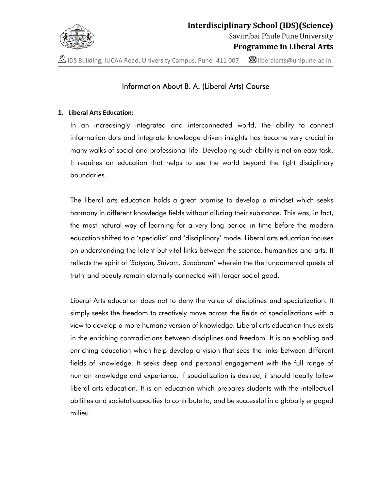

**A** IDS Building, IUCAA Road, University Campus, Pune- 411 007  $\blacksquare$  liberalarts@unipune.ac.in

# Information About B. A. (Liberal Arts) Course

### 1. Liberal Arts Education:

In an increasingly integrated and interconnected world, the ability to connect information dots and integrate knowledge driven insights has become very crucial in many walks of social and professional life. Developing such ability is not an easy task. It requires an education that helps to see the world beyond the tight disciplinary boundaries.

The liberal arts education holds a great promise to develop a mindset which seeks harmony in different knowledge fields without diluting their substance. This was, in fact, the most natural way of learning for a very long period in time before the modern education shifted to a 'specialist' and 'disciplinary' mode. Liberal arts education focuses on understanding the latent but vital links between the science, humanities and arts. It reflects the spirit of 'Satyam, Shivam, Sundaram' wherein the the fundamental quests of truth and beauty remain eternally connected with larger social good.

Liberal Arts education does not to deny the value of disciplines and specialization. It simply seeks the freedom to creatively move across the fields of specializations with a view to develop a more humane version of knowledge. Liberal arts education thus exists in the enriching contradictions between disciplines and freedom. It is an enabling and enriching education which help develop a vision that sees the links between different fields of knowledge. It seeks deep and personal engagement with the full range of human knowledge and experience. If specialization is desired, it should ideally follow liberal arts education. It is an education which prepares students with the intellectual abilities and societal capacities to contribute to, and be successful in a globally engaged milieu.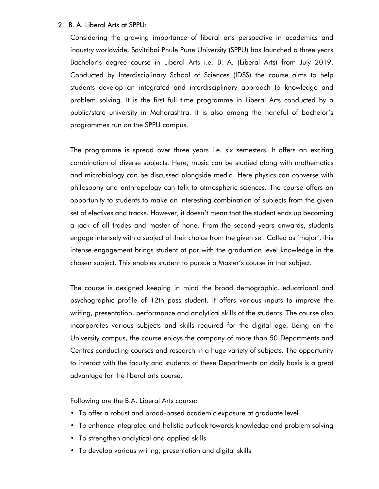## 2. B. A. Liberal Arts at SPPU:

Considering the growing importance of liberal arts perspective in academics and industry worldwide, Savitribai Phule Pune University (SPPU) has launched a three years Bachelor's degree course in Liberal Arts i.e. B. A. (Liberal Arts) from July 2019. Conducted by Interdisciplinary School of Sciences (IDSS) the course aims to help students develop an integrated and interdisciplinary approach to knowledge and problem solving. It is the first full time programme in Liberal Arts conducted by a public/state university in Maharashtra. It is also among the handful of bachelor's programmes run on the SPPU campus.

The programme is spread over three years i.e. six semesters. It offers an exciting combination of diverse subjects. Here, music can be studied along with mathematics and microbiology can be discussed alongside media. Here physics can converse with philosophy and anthropology can talk to atmospheric sciences. The course offers an opportunity to students to make an interesting combination of subjects from the given set of electives and tracks. However, it doesn't mean that the student ends up becoming a jack of all trades and master of none. From the second years onwards, students engage intensely with a subject of their choice from the given set. Called as 'major', this intense engagement brings student at par with the graduation level knowledge in the chosen subject. This enables student to pursue a Master's course in that subject.

The course is designed keeping in mind the broad demographic, educational and psychographic profile of 12th pass student. It offers various inputs to improve the writing, presentation, performance and analytical skills of the students. The course also incorporates various subjects and skills required for the digital age. Being on the University campus, the course enjoys the company of more than 50 Departments and Centres conducting courses and research in a huge variety of subjects. The opportunity to interact with the faculty and students of these Departments on daily basis is a great advantage for the liberal arts course.

Following are the B.A. Liberal Arts course:

- To offer a robust and broad-based academic exposure at graduate level
- To enhance integrated and holistic outlook towards knowledge and problem solving
- To strengthen analytical and applied skills
- To develop various writing, presentation and digital skills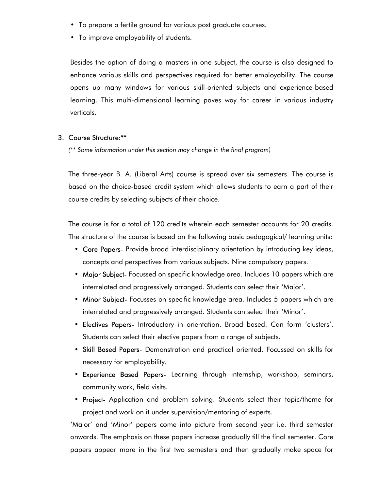- To prepare a fertile ground for various post graduate courses.
- To improve employability of students.

Besides the option of doing a masters in one subject, the course is also designed to enhance various skills and perspectives required for better employability. The course opens up many windows for various skill-oriented subjects and experience-based learning. This multi-dimensional learning paves way for career in various industry verticals.

#### 3. Course Structure:\*\*

(\*\* Some information under this section may change in the final program)

The three-year B. A. (Liberal Arts) course is spread over six semesters. The course is based on the choice-based credit system which allows students to earn a part of their course credits by selecting subjects of their choice.

The course is for a total of 120 credits wherein each semester accounts for 20 credits. The structure of the course is based on the following basic pedagogical/ learning units:

- Core Papers- Provide broad interdisciplinary orientation by introducing key ideas, concepts and perspectives from various subjects. Nine compulsory papers.
- Major Subject- Focussed on specific knowledge area. Includes 10 papers which are interrelated and progressively arranged. Students can select their 'Major'.
- Minor Subject- Focusses on specific knowledge area. Includes 5 papers which are interrelated and progressively arranged. Students can select their 'Minor'.
- Electives Papers- Introductory in orientation. Broad based. Can form 'clusters'. Students can select their elective papers from a range of subjects.
- Skill Based Papers- Demonstration and practical oriented. Focussed on skills for necessary for employability.
- Experience Based Papers- Learning through internship, workshop, seminars, community work, field visits.
- Project- Application and problem solving. Students select their topic/theme for project and work on it under supervision/mentoring of experts.

'Major' and 'Minor' papers come into picture from second year i.e. third semester onwards. The emphasis on these papers increase gradually till the final semester. Core papers appear more in the first two semesters and then gradually make space for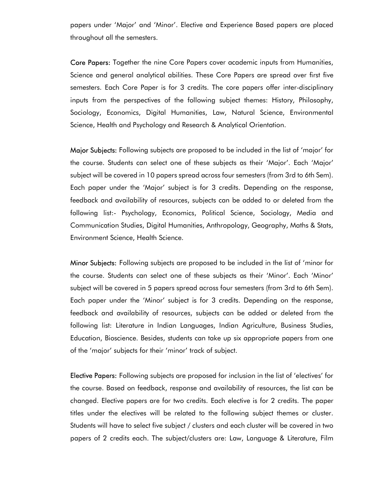papers under 'Major' and 'Minor'. Elective and Experience Based papers are placed throughout all the semesters.

Core Papers: Together the nine Core Papers cover academic inputs from Humanities, Science and general analytical abilities. These Core Papers are spread over first five semesters. Each Core Paper is for 3 credits. The core papers offer inter-disciplinary inputs from the perspectives of the following subject themes: History, Philosophy, Sociology, Economics, Digital Humanities, Law, Natural Science, Environmental Science, Health and Psychology and Research & Analytical Orientation.

Major Subjects: Following subjects are proposed to be included in the list of 'major' for the course. Students can select one of these subjects as their 'Major'. Each 'Major' subject will be covered in 10 papers spread across four semesters (from 3rd to 6th Sem). Each paper under the 'Major' subject is for 3 credits. Depending on the response, feedback and availability of resources, subjects can be added to or deleted from the following list:- Psychology, Economics, Political Science, Sociology, Media and Communication Studies, Digital Humanities, Anthropology, Geography, Maths & Stats, Environment Science, Health Science.

Minor Subjects: Following subjects are proposed to be included in the list of 'minor for the course. Students can select one of these subjects as their 'Minor'. Each 'Minor' subject will be covered in 5 papers spread across four semesters (from 3rd to 6th Sem). Each paper under the 'Minor' subject is for 3 credits. Depending on the response, feedback and availability of resources, subjects can be added or deleted from the following list: Literature in Indian Languages, Indian Agriculture, Business Studies, Education, Bioscience. Besides, students can take up six appropriate papers from one of the 'major' subjects for their 'minor' track of subject.

Elective Papers: Following subjects are proposed for inclusion in the list of 'electives' for the course. Based on feedback, response and availability of resources, the list can be changed. Elective papers are for two credits. Each elective is for 2 credits. The paper titles under the electives will be related to the following subject themes or cluster. Students will have to select five subject / clusters and each cluster will be covered in two papers of 2 credits each. The subject/clusters are: Law, Language & Literature, Film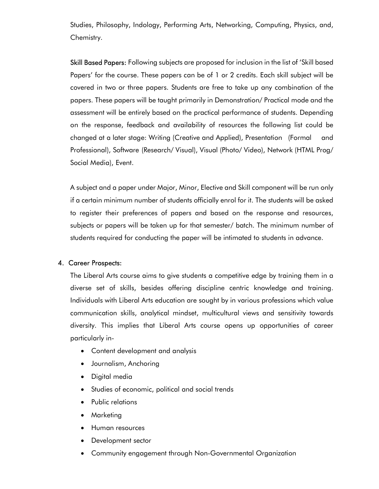Studies, Philosophy, Indology, Performing Arts, Networking, Computing, Physics, and, Chemistry.

Skill Based Papers: Following subjects are proposed for inclusion in the list of 'Skill based Papers' for the course. These papers can be of 1 or 2 credits. Each skill subject will be covered in two or three papers. Students are free to take up any combination of the papers. These papers will be taught primarily in Demonstration/ Practical mode and the assessment will be entirely based on the practical performance of students. Depending on the response, feedback and availability of resources the following list could be changed at a later stage: Writing (Creative and Applied), Presentation (Formal and Professional), Software (Research/ Visual), Visual (Photo/ Video), Network (HTML Prog/ Social Media), Event.

A subject and a paper under Major, Minor, Elective and Skill component will be run only if a certain minimum number of students officially enrol for it. The students will be asked to register their preferences of papers and based on the response and resources, subjects or papers will be taken up for that semester/ batch. The minimum number of students required for conducting the paper will be intimated to students in advance.

# 4. Career Prospects:

The Liberal Arts course aims to give students a competitive edge by training them in a diverse set of skills, besides offering discipline centric knowledge and training. Individuals with Liberal Arts education are sought by in various professions which value communication skills, analytical mindset, multicultural views and sensitivity towards diversity. This implies that Liberal Arts course opens up opportunities of career particularly in-

- Content development and analysis
- Journalism, Anchoring
- Digital media
- Studies of economic, political and social trends
- Public relations
- Marketing
- **•** Human resources
- Development sector
- Community engagement through Non-Governmental Organization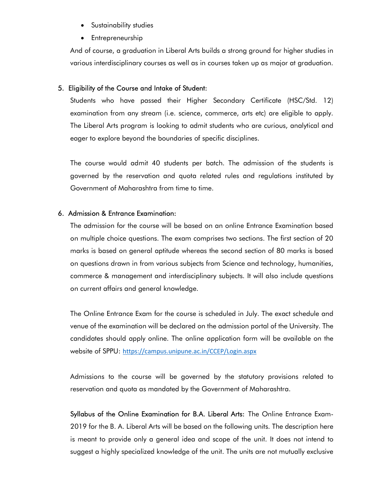- Sustainability studies
- Entrepreneurship

And of course, a graduation in Liberal Arts builds a strong ground for higher studies in various interdisciplinary courses as well as in courses taken up as major at graduation.

## 5. Eligibility of the Course and Intake of Student:

Students who have passed their Higher Secondary Certificate (HSC/Std. 12) examination from any stream (i.e. science, commerce, arts etc) are eligible to apply. The Liberal Arts program is looking to admit students who are curious, analytical and eager to explore beyond the boundaries of specific disciplines.

The course would admit 40 students per batch. The admission of the students is governed by the reservation and quota related rules and regulations instituted by Government of Maharashtra from time to time.

## 6. Admission & Entrance Examination:

The admission for the course will be based on an online Entrance Examination based on multiple choice questions. The exam comprises two sections. The first section of 20 marks is based on general aptitude whereas the second section of 80 marks is based on questions drawn in from various subjects from Science and technology, humanities, commerce & management and interdisciplinary subjects. It will also include questions on current affairs and general knowledge.

The Online Entrance Exam for the course is scheduled in July. The exact schedule and venue of the examination will be declared on the admission portal of the University. The candidates should apply online. The online application form will be available on the website of SPPU: https://campus.unipune.ac.in/CCEP/Login.aspx

Admissions to the course will be governed by the statutory provisions related to reservation and quota as mandated by the Government of Maharashtra.

Syllabus of the Online Examination for B.A. Liberal Arts: The Online Entrance Exam-2019 for the B. A. Liberal Arts will be based on the following units. The description here is meant to provide only a general idea and scope of the unit. It does not intend to suggest a highly specialized knowledge of the unit. The units are not mutually exclusive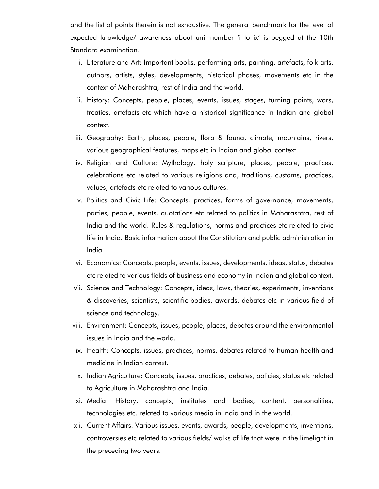and the list of points therein is not exhaustive. The general benchmark for the level of expected knowledge/ awareness about unit number 'i to ix' is pegged at the 10th Standard examination.

- i. Literature and Art: Important books, performing arts, painting, artefacts, folk arts, authors, artists, styles, developments, historical phases, movements etc in the context of Maharashtra, rest of India and the world.
- ii. History: Concepts, people, places, events, issues, stages, turning points, wars, treaties, artefacts etc which have a historical significance in Indian and global context.
- iii. Geography: Earth, places, people, flora & fauna, climate, mountains, rivers, various geographical features, maps etc in Indian and global context.
- iv. Religion and Culture: Mythology, holy scripture, places, people, practices, celebrations etc related to various religions and, traditions, customs, practices, values, artefacts etc related to various cultures.
- v. Politics and Civic Life: Concepts, practices, forms of governance, movements, parties, people, events, quotations etc related to politics in Maharashtra, rest of India and the world. Rules & regulations, norms and practices etc related to civic life in India. Basic information about the Constitution and public administration in India.
- vi. Economics: Concepts, people, events, issues, developments, ideas, status, debates etc related to various fields of business and economy in Indian and global context.
- vii. Science and Technology: Concepts, ideas, laws, theories, experiments, inventions & discoveries, scientists, scientific bodies, awards, debates etc in various field of science and technology.
- viii. Environment: Concepts, issues, people, places, debates around the environmental issues in India and the world.
- ix. Health: Concepts, issues, practices, norms, debates related to human health and medicine in Indian context.
- x. Indian Agriculture: Concepts, issues, practices, debates, policies, status etc related to Agriculture in Maharashtra and India.
- xi. Media: History, concepts, institutes and bodies, content, personalities, technologies etc. related to various media in India and in the world.
- xii. Current Affairs: Various issues, events, awards, people, developments, inventions, controversies etc related to various fields/ walks of life that were in the limelight in the preceding two years.